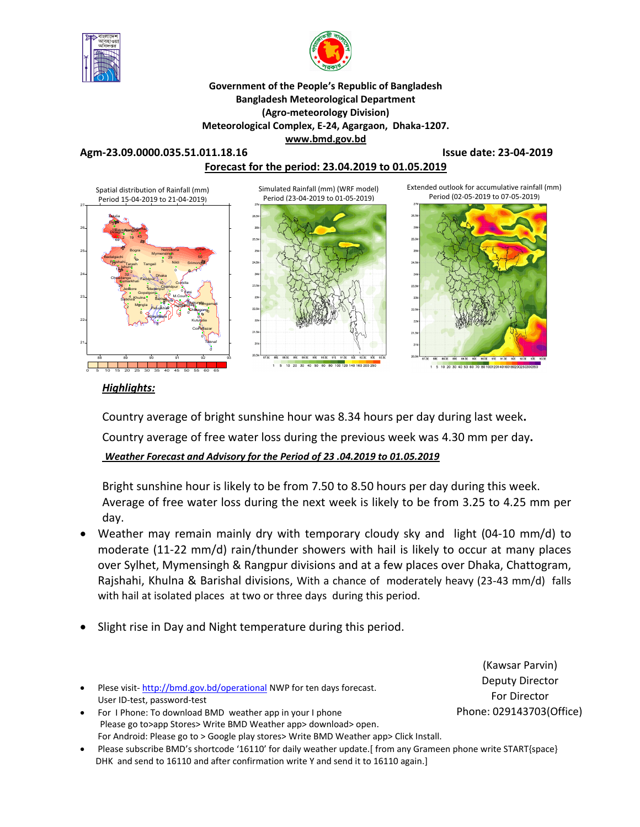



**Government of the People's Republic of Bangladesh Bangladesh Meteorological Department (Agro-meteorology Division) Meteorological Complex, E-24, Agargaon, Dhaka-1207. www.bmd.gov.bd** 

#### **Agm-23.09.0000.035.51.011.18.16 Issue date: 23-04-2019 Forecast for the period: 23.04.2019 to 01.05.2019**



#### *Highlights:*

Country average of bright sunshine hour was 8.34 hours per day during last week**.** Country average of free water loss during the previous week was 4.30 mm per day**.**  *Weather Forecast and Advisory for the Period of 23 .04.2019 to 01.05.2019*

Bright sunshine hour is likely to be from 7.50 to 8.50 hours per day during this week. Average of free water loss during the next week is likely to be from 3.25 to 4.25 mm per day.

- Weather may remain mainly dry with temporary cloudy sky and light (04-10 mm/d) to moderate (11-22 mm/d) rain/thunder showers with hail is likely to occur at many places over Sylhet, Mymensingh & Rangpur divisions and at a few places over Dhaka, Chattogram, Rajshahi, Khulna & Barishal divisions, With a chance of moderately heavy (23-43 mm/d) falls with hail at isolated places at two or three days during this period.
- Slight rise in Day and Night temperature during this period.
- Plese visit- http://bmd.gov.bd/operational NWP for ten days forecast. User ID-test, password-test
- For I Phone: To download BMD weather app in your I phone Please go to>app Stores> Write BMD Weather app> download> open. For Android: Please go to > Google play stores> Write BMD Weather app> Click Install.
- Please subscribe BMD's shortcode '16110' for daily weather update.[ from any Grameen phone write START{space} DHK and send to 16110 and after confirmation write Y and send it to 16110 again.]

(Kawsar Parvin) Deputy Director For Director Phone: 029143703(Office)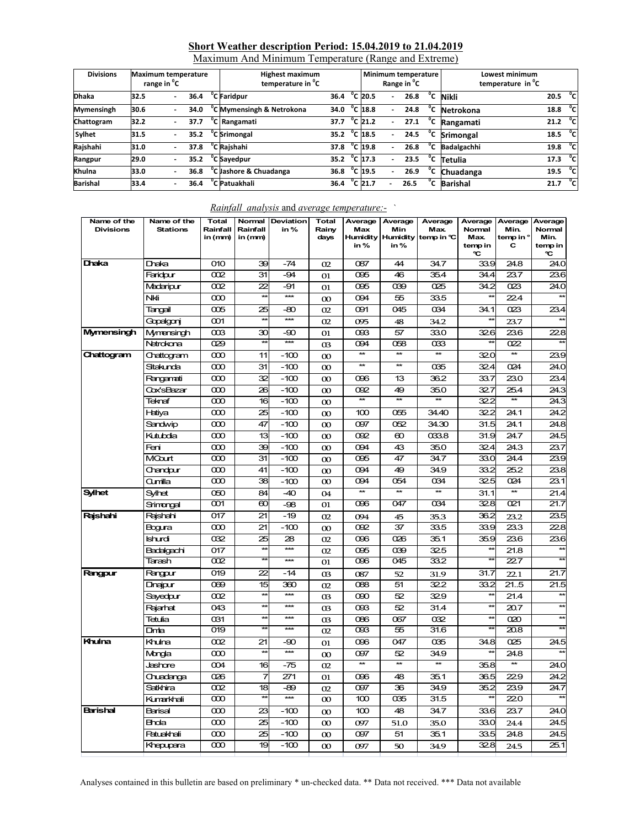## **Short Weather description Period: 15.04.2019 to 21.04.2019**

| Maximum And Minimum Temperature (Range and Extreme) |  |
|-----------------------------------------------------|--|
|                                                     |  |

| <b>Divisions</b>  | <b>Maximum temperature</b><br>range in <sup>o</sup> C |      | <b>Highest maximum</b><br>temperature in <sup>o</sup> C |                        |                   | Range in <sup>"</sup> C | Minimum temperature |              | Lowest minimum<br>temperature in <sup>"</sup> C |      |               |
|-------------------|-------------------------------------------------------|------|---------------------------------------------------------|------------------------|-------------------|-------------------------|---------------------|--------------|-------------------------------------------------|------|---------------|
| <b>Dhaka</b>      | 32.5                                                  | 36.4 | <sup>"</sup> C Faridpur                                 | 36.4                   | $^{\circ}$ C 20.5 | $\blacksquare$          | 26.8                | °c           | <b>Nikli</b>                                    | 20.5 | °cl           |
| <b>Mymensingh</b> | 30.6                                                  | 34.0 | <sup>o</sup> C Mymensingh & Netrokona                   | 34.0                   | $^{\circ}$ C 18.8 |                         | 24.8                | °c           | Netrokona                                       | 18.8 | ்ட            |
| Chattogram        | 32.2                                                  | 37.7 | <sup>o</sup> C Rangamati                                | 37.7                   | $^{\circ}$ C 21.2 | $\blacksquare$          | 27.1                | $^{\circ}$ c | Rangamati                                       | 21.2 | $^{\circ}$ cl |
| Sylhet            | 31.5                                                  | 35.2 | <sup>o</sup> C Srimongal                                | 35.2 $^{\circ}$ C 18.5 |                   |                         | 24.5                | $^{\circ}$ c | Srimongal                                       | 18.5 | °cl           |
| Rajshahi          | 31.0                                                  | 37.8 | <sup>o</sup> C Rajshahi                                 | 37.8 $^{\circ}$ C 19.8 |                   |                         | 26.8                | °c           | <b>Badalgachhi</b>                              | 19.8 | °cl           |
| Rangpur           | 29.0                                                  | 35.2 | C Savedpur                                              | 35.2                   | $^{\circ}$ C 17.3 | $\overline{a}$          | 23.5                | °c           | Tetulia                                         | 17.3 | °cl           |
| Khulna            | 33.0                                                  | 36.8 | <sup>o</sup> C Jashore & Chuadanga                      | 36.8                   | $^{\circ}$ C 19.5 |                         | 26.9                | °c           | <b>Chuadanga</b>                                | 19.5 | ੰਟ            |
| <b>Barishal</b>   | 33.4                                                  | 36.4 | 'C Patuakhali                                           | 36.4                   | $^{\circ}$ C 21.7 |                         | 26.5                | °c           | <b>Barishal</b>                                 | 21.7 | °cl           |

| Name of the<br><b>Divisions</b> | Name of the<br><b>Stations</b> | <b>Total</b><br>Rainfall<br>in (mm) | Rainfall<br>in (mm) | Normal Deviation<br>in% | <b>Total</b><br>Rainy<br>days | Average<br>Max<br>in% | Average<br>Min<br>in% | Average<br><b>Max</b><br>Humidity Humidity temp in °C | Average<br>Normal<br><b>Max</b><br>temp in<br>℃ | Average<br>Min.<br>temp in °<br>C | Average<br>Normal<br>Min.<br>temp in<br>C |
|---------------------------------|--------------------------------|-------------------------------------|---------------------|-------------------------|-------------------------------|-----------------------|-----------------------|-------------------------------------------------------|-------------------------------------------------|-----------------------------------|-------------------------------------------|
| Dhaka                           | Draka                          | 010                                 | 39                  | $-74$                   | 02                            | 087                   | 44                    | 34.7                                                  | 33.9                                            | 24.8                              | 24.0                                      |
|                                 | Faridpur                       | 002                                 | 31                  | $-94$                   | 01                            | 095                   | 46                    | 35.4                                                  | 34.4                                            | 23.7                              | 23.6                                      |
|                                 | Madaripur                      | 002                                 | 22                  | -91                     | 01                            | 095                   | 039                   | 025                                                   | 34.2                                            | 023                               | 24.0                                      |
|                                 | Nki                            | $\infty$                            | $\star\star$        | $\overline{***}$        | $\infty$                      | 094                   | 55                    | 33.5                                                  |                                                 | 224                               |                                           |
|                                 | Tangail                        | 005                                 | 25                  | $-80$                   | 02                            | 091                   | 045                   | 034                                                   | 34.1                                            | 023                               | 23.4                                      |
|                                 | Gopalgonj                      | 001                                 | $\star\star$        | $***$                   | 02                            | 095                   | 48                    | 34.2                                                  |                                                 | 23.7                              |                                           |
| Mymensingh                      | Mymensingh                     | $\infty$                            | 30                  | -90                     | 01                            | 093                   | 57                    | 33.0                                                  | 326                                             | 23.6                              | 22.8                                      |
|                                 | Netrokona                      | 029                                 | $\star\star$        | $\star\star\star$       | <sub>03</sub>                 | 094                   | 058                   | $\alpha$ 33                                           |                                                 | 022                               |                                           |
| Chattogram                      | Chattogram                     | $\infty$                            | 11                  | $-100$                  | $\infty$                      | $\star$               | $\star\star$          | $\star\star$                                          | 32.0                                            | $\ast$                            | 23.9                                      |
|                                 | Sitakunda                      | $\infty$                            | 31                  | $-100$                  | $\infty$                      | $\star\star$          | $\star\star$          | 035                                                   | 32.4                                            | 024                               | 24.0                                      |
|                                 | Rangamati                      | $\infty$                            | 32                  | $-100$                  | $\infty$                      | 096                   | 13                    | 36.2                                                  | 33.7                                            | 23.0                              | 23.4                                      |
|                                 | Cox'sBazar                     | $\infty$                            | 26                  | $-100$                  | $\infty$                      | 092                   | 49                    | 35.0                                                  | 32.7                                            | 25.4                              | 24.3                                      |
|                                 | Teknaf                         | $\infty$                            | 16                  | $-100$                  | $\infty$                      | $\ast$                | $\star\star$          | $\star\star$                                          | 32.2                                            | ¥                                 | 24.3                                      |
|                                 | Hatiya                         | 000                                 | 25                  | $-100$                  | $\infty$                      | 100                   | 055                   | 34.40                                                 | 32.2                                            | 24.1                              | 24.2                                      |
|                                 | Sandwip                        | $\infty$                            | 47                  | $-100$                  | $\infty$                      | 097                   | 052                   | 34.30                                                 | 31.5                                            | 24.1                              | 24.8                                      |
|                                 | Kutubdia                       | $\infty$                            | 13                  | $-100$                  | $\infty$                      | 092                   | $\infty$              | 033.8                                                 | 31.9                                            | 24.7                              | 24.5                                      |
|                                 | Feni                           | $\infty$                            | 39                  | $-100$                  | $\infty$                      | 094                   | 43                    | 35.0                                                  | 32.4                                            | 24.3                              | 23.7                                      |
|                                 | <b>MGart</b>                   | $\infty$                            | 31                  | $-100$                  | $\infty$                      | 095                   | 47                    | 34.7                                                  | 33.0                                            | 24.4                              | 23.9                                      |
|                                 | Chandpur                       | $\infty$                            | 41                  | $-100$                  | $\infty$                      | 094                   | 49                    | 34.9                                                  | 33.2                                            | 25.2                              | 23.8                                      |
|                                 | Qumilla                        | $\infty$                            | 38                  | $-100$                  | $\infty$                      | 094                   | 054                   | 034                                                   | 32.5                                            | 024                               | 23.1                                      |
| <b>Sylhet</b>                   | Sylhet                         | 050                                 | 84                  | $-40$                   | 04                            | $**$                  | **                    | $**$                                                  | 31.1                                            | $**$                              | 21.4                                      |
|                                 | Srimongal                      | 001                                 | $\infty$            | -98                     | 01                            | 096                   | 047                   | 034                                                   | 32.8                                            | 021                               | 21.7                                      |
| Rajshahi                        | Raishahi                       | 017                                 | 21                  | $-19$                   | 02                            | 094                   | 45                    | 35.3                                                  | 36.2                                            | 23.2                              | 23.5                                      |
|                                 | Bogura                         | 000                                 | 21                  | $-100$                  | $\infty$                      | 092                   | 37                    | 33.5                                                  | 33.9                                            | 23.3                              | 228                                       |
|                                 | Ishurdi                        | 032                                 | 25                  | 28                      | 02                            | 096                   | 026                   | 35.1                                                  | 35.9                                            | 23.6                              | 23.6                                      |
|                                 | Badalgachi                     | 017                                 | $\star\star$        | $***$                   | 02                            | 095                   | 039                   | 32.5                                                  | $\star$                                         | 21.8                              | $\overline{a}$                            |
|                                 | Tarash                         | 002                                 | $*$                 | ***                     | 01                            | 096                   | 045                   | 33.2                                                  | $\star\star$                                    | 227                               |                                           |
| Rangpur                         | Rangpur                        | 019                                 | 22                  | $-14$                   | 03                            | 087                   | 52                    | 31.9                                                  | 31.7                                            | 22.1                              | 21.7                                      |
|                                 | Dinajpur                       | 069                                 | 15                  | 360                     | 02                            | 088                   | 51                    | 32.2                                                  | 33.2                                            | 21.5                              | 21.5                                      |
|                                 | Sayedpur                       | 002                                 | $\star\star$        | ***                     | <sub>03</sub>                 | 090                   | 52                    | 329                                                   | ŵ                                               | 21.4                              |                                           |
|                                 | Rajarhat                       | 043                                 | $\star\star$        | ***                     | O3                            | 093                   | 52                    | 31.4                                                  | $\star\star$                                    | 20.7                              | $*$                                       |
|                                 | Tetulia                        | 031                                 | $*$                 | ***                     | $\alpha$                      | 086                   | 067                   | 032                                                   | $\star\star$                                    | 020                               | $\star\star$                              |
|                                 | <b>Dma</b>                     | 019                                 | ¥                   | ***                     | 02                            | 093                   | 55                    | 31.6                                                  |                                                 | 20.8                              |                                           |
| Khulna                          | Khulna                         | 002                                 | 21                  | -90                     | 01                            | 096                   | 047                   | 035                                                   | 34.8                                            | 025                               | 24.5                                      |
|                                 | Mongla                         | $\infty$                            | ŵ                   | $\star\star\star$       | $\infty$                      | 097                   | 52                    | 34.9                                                  |                                                 | 24.8                              |                                           |
|                                 | Jashore                        | 004                                 | 16                  | $-75$                   | O <sub>2</sub>                | $\overline{\ast}$     | ¥                     | $\star\star$                                          | 35.8                                            | $\star\star$                      | 24.0                                      |
|                                 | Chuadanga                      | 026                                 | 7                   | 271                     | 01                            | 096                   | 48                    | 35.1                                                  | 36.5                                            | 229                               | 24.2                                      |
|                                 | Satkhira                       | 002                                 | 18                  | $-89$                   | O <sub>2</sub>                | 097                   | 36                    | 34.9                                                  | 35.2                                            | 23.9                              | 24.7                                      |
|                                 | Kumarkhali                     | $\infty$                            | $\star\star$        | $***$                   | $\infty$                      | 100                   | 035                   | 31.5                                                  | $\star$                                         | 220                               |                                           |
| Barishal                        | Barisal                        | $\infty$                            | 23                  | $-100$                  | $\infty$                      | 100                   | 48                    | 34.7                                                  | 33.6                                            | 23.7                              | 24.0                                      |
|                                 | <b>Bhola</b>                   | $\infty$                            | 25                  | $-100$                  | $\infty$                      | 097                   | 51.0                  | 35.0                                                  | 33.0                                            | 24.4                              | 24.5                                      |
|                                 | Patuakhali                     | $\infty$                            | 25                  | $-100$                  | $\infty$                      | 097                   | 51                    | 35.1                                                  | 33.5                                            | 24.8                              | 24.5                                      |
|                                 | Khepupara                      | $\infty$                            | 19                  | $-100$                  | $\infty$                      | 097                   | 50                    | 34.9                                                  | 328                                             | 24.5                              | 25.1                                      |

#### *Rainfall analysis* and *average temperature:-* `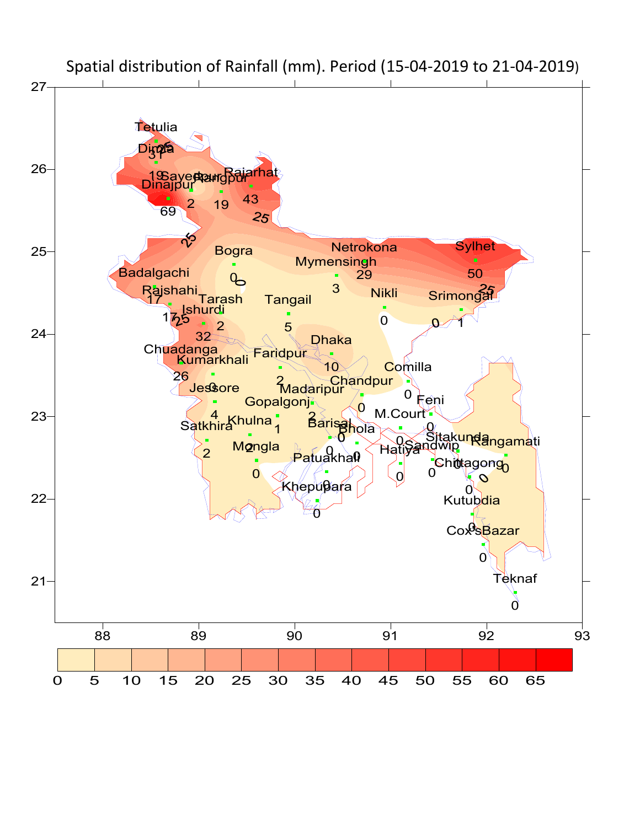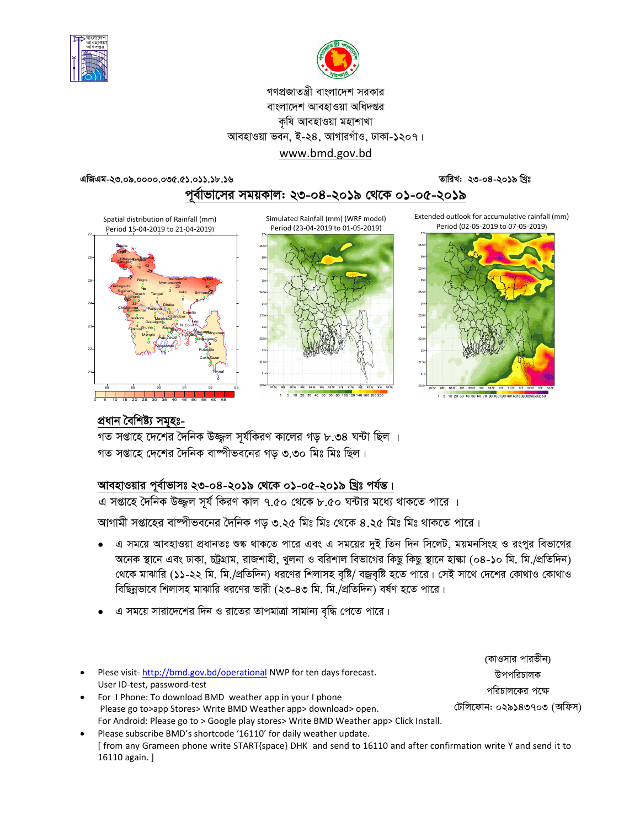



### গণপ্রজাতন্ত্রী বাংলাদেশ সরকার বাংলাদেশ আবহাওয়া অধিদপ্তর কৃষি আবহাওয়া মহাশাখা আবহাওয়া ভবন, ই-২৪, আগারগাঁও, ঢাকা-১২০৭। www.bmd.gov.bd

তারিখ: ২৩-০৪-২০১৯ খ্রিঃ

এজিএম-২৩.০৯.০০০০.০৩৫.৫১.০১১.১৮.১৬

পূর্বাভাসের সময়কাল: ২৩-০৪-২০১৯ থেকে ০১-০৫-২০১৯

Extended outlook for accumulative rainfall (mm) Period (02-05-2019 to 07-05-2019)



Simulated Rainfall (mm) (WRF model) Period (23-04-2019 to 01-05-2019)







# প্ৰধান বৈশিষ্ট্য সমূহঃ-

গত সপ্তাহে দেশের দৈনিক উজ্জল সূর্যকিরণ কালের গড় ৮.৩৪ ঘন্টা ছিল । গত সপ্তাহে দেশের দৈনিক বাষ্পীভবনের গড ৩.৩০ মিঃ মিঃ ছিল।

# আবহাওয়ার পূর্বাভাসঃ ২৩-০৪-২০১৯ থেকে ০১-০৫-২০১৯ খ্রিঃ পর্যন্ত।

<u>। সঞ্জাহে দৈনিক উজ্জ্বল সূর্য কিরণ কাল ৭.৫০ থেকে ৮.৫০ ঘন্টার মধ্যে থাকতে পারে ।</u>

আগামী সপ্তাহের বাম্পীভবনের দৈনিক গড় ৩.২৫ মিঃ মিঃ থেকে ৪.২৫ মিঃ মিঃ থাকতে পারে।

- এ সময়ে আবহাওয়া প্রধানতঃ শুষ্ক থাকতে পারে এবং এ সময়ের দুই তিন দিন সিলেট, ময়মনসিংহ ও রংপুর বিভাগের  $\bullet$ অনেক স্থানে এবং ঢাকা, চট্টগ্রাম, রাজশাহী, খুলনা ও বরিশাল বিভাগের কিছু কিছু স্থানে হাল্কা (০৪-১০ মি. মি./প্রতিদিন) থেকে মাঝারি (১১-২২ মি. মি./প্রতিদিন) ধরণের শিলাসহ বৃষ্টি/ বজ্রবৃষ্টি হতে পারে। সেই সাথে দেশের কোথাও কোথাও বিছিন্নভাবে শিলাসহ মাঝারি ধরণের ভারী (২৩-৪৩ মি. মি./প্রতিদিন) বর্ষণ হতে পারে।
- এ সময়ে সারাদেশের দিন ও রাতের তাপমাত্রা সামান্য বৃদ্ধি পেতে পারে।

|                                                                                       | (কাওসার পারভীন)           |
|---------------------------------------------------------------------------------------|---------------------------|
| Plese visit-http://bmd.gov.bd/operational NWP for ten days forecast.                  | উপপরিচালক                 |
| User ID-test, password-test                                                           | পরিচালকের পক্ষে           |
| For I Phone: To download BMD weather app in your I phone                              |                           |
| Please go to > app Stores > Write BMD Weather app > download > open.                  | টেলিফোন: ০২৯১৪৩৭০৩ (অফিস) |
| For Android: Please go to > Google play stores> Write BMD Weather app> Click Install. |                           |
| Bloase subscribe BMD's shortcode '16110' for daily weather undate                     |                           |

Please subscribe BMD's shortcode '16110' for daily weather update. [ from any Grameen phone write START{space} DHK and send to 16110 and after confirmation write Y and send it to 16110 again.]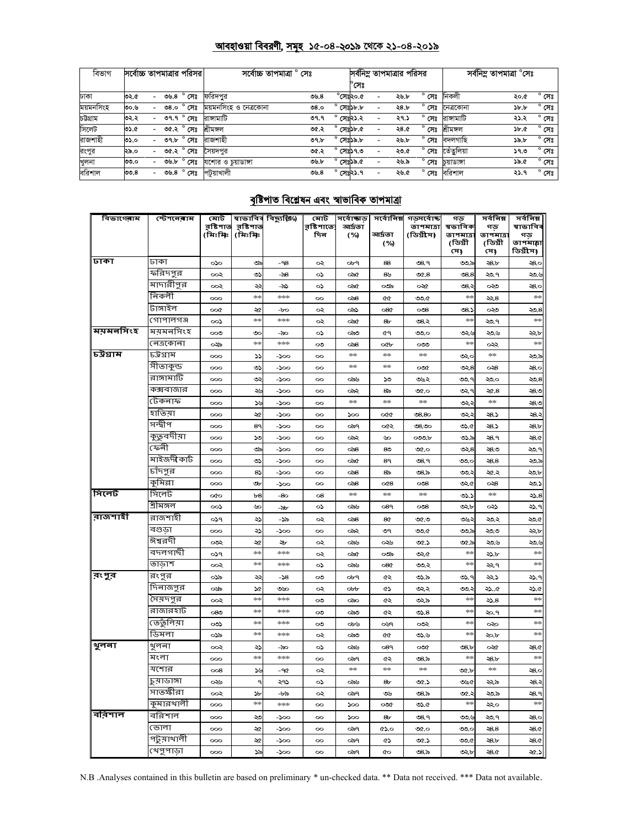#### <u> আবহাওয়া বিবরণী, সমূহ ১৫-০৪-২০১৯ থেকে ২১-০৪-২০১৯</u>

| বিভাগ     | সর্বোচ্চ তাপমাত্রার পরিসর |                          |      |                     | সৰ্বোচ্চ তাপমাত্ৰা ° সেঃ |      |                    |                          | সর্বনিম্ন তাপমাত্রার পরিসর |                |            | সৰ্বনিম তাপমাত্ৰা °সেঃ |                |
|-----------|---------------------------|--------------------------|------|---------------------|--------------------------|------|--------------------|--------------------------|----------------------------|----------------|------------|------------------------|----------------|
|           |                           |                          |      |                     |                          |      | $^\circ$ সেঃ       |                          |                            |                |            |                        |                |
| ঢাকা      | ৩২.৫                      |                          |      | ৩৬.৪ $^{\circ}$ সেঃ | ফরিদপর                   | ৩৬.৪ | $^{\circ}$ সেঃ২০.৫ |                          | ২৬.৮                       | $^{\circ}$ সেঃ | নিকলী      | ২০.৫                   | $^{\circ}$ সেঃ |
| ময়মনসিংহ | ৩০.৬                      | $\overline{\phantom{0}}$ | 08.0 | <sup>, °</sup> সেঃ  | ময়মনসিংহ ও নেত্ৰকোনা    | 08.0 | $^{\circ}$ সেঃ১৮.৮ |                          | ২৪.৮                       | সেঃ            | নেত্ৰকোনা  | $\delta b$ , $b$       | $^{\circ}$ সেঃ |
| চউগ্ৰাম   | ৩২.২                      |                          |      | ত৭.৭ $^{\circ}$ সেঃ | রাঙ্গামাটি               | ৩৭.৭ | $^{\circ}$ সেঃ২১.২ | $\overline{\phantom{a}}$ | ২৭.১                       | $^{\circ}$ সেঃ | রাঙ্গামাটি | ২১.২                   | $^{\circ}$ সেঃ |
| সিলেট     | ৩১.৫                      |                          |      | ৩৫.২ ° সেঃ          | শ্ৰীমঙ্গল                | ৩৫.২ | $^{\circ}$ সেঃ১৮.৫ |                          | ২৪.৫                       | $^{\circ}$ সেঃ | শ্ৰীমঙ্গল  | 3b.6                   | $^{\circ}$ সেঃ |
| রাজশাহী   | ৩১.০                      |                          |      | ৩৭.৮ ° সেঃ          | রাজশাহী                  | ৩৭.৮ | $^{\circ}$ সেঃ১৯.৮ |                          | ২৬.৮                       | $^{\circ}$ সেঃ | বদলগাছি    | ১৯.৮                   | $^{\circ}$ সেঃ |
| রংপুর     | ২৯.০                      |                          |      | ৩৫.২ ° সেঃ          | সৈয়দপুর                 | ৩৫.২ | $^{\circ}$ সেঃ১৭.৩ |                          | ২৩.৫                       | $^{\circ}$ সেঃ | তেঁতুলিয়া | 39.0                   | $^{\circ}$ সেঃ |
| খুলনা     | ৩৩.০                      |                          |      | ৩৬.৮ ° সেঃ          | যশোর ও চয়াডাঙ্গা        | ৩৬.৮ | $^{\circ}$ সেঃ১৯.৫ |                          | ২৬.৯                       | ۰<br>সেঃ       | চয়াডাঙ্গা | ১৯.৫                   | $^{\circ}$ সেঃ |
| বরিশাল    | 00.8                      | $\overline{\phantom{0}}$ |      | ৩৬.৪ $^{\circ}$ সেঃ | পটুয়াখালী               | 09.8 | $^{\circ}$ সেঃ২১.৭ |                          | ২৬.৫                       | $^{\circ}$ সেঃ | বরিশাল     | ২১.৭                   | $^{\circ}$ সেঃ |

## <u>বৃষ্টিপাত বিশ্লেষন এবং স্বাভাবিক তাপমাত্ৰা</u>

| বিভাগেৰাম | স্টেশনেৰাম   | মোট                  |                     | স্বাভাবিৰ বিছ্যুষ্ঠি⁄) | মোট               | সৰ্বোজ্ঞাড়      | <u> प्रत्यंगलिल्ल</u> | গড়সৰ্বোষ্ক            | গড                 | সৰ্বনিম্ন       | সৰ্বনিম্ন     |
|-----------|--------------|----------------------|---------------------|------------------------|-------------------|------------------|-----------------------|------------------------|--------------------|-----------------|---------------|
|           |              | রৃষ্টিপাত<br>(মিঃমিঃ | রষ্টিপাত<br>(মিঃমিঃ |                        | রষ্টিপাতে:<br>দিন | আৰ্দ্ৰতা<br>(%)  | আৰ্দ্ৰতা              | তাপমাত্রা<br>(ডিগ্রীস) | ষভাবিক<br>তাপমাত্র | গড<br>তাপমাত্রা | ষাভাবিব<br>গড |
|           |              |                      |                     |                        |                   |                  | (%)                   |                        | (ডিগ্ৰী            | (ডিগ্ৰী         | তাপমাল্লা     |
| ।जका      | ঢাকা         |                      |                     |                        |                   |                  |                       |                        | সে)                | সে)             | ডিগ্ৰীস)      |
|           |              | ०५०                  | ৩৯                  | $-98$                  | جہ                | ०৮৭              | 88                    | ৩৪.৭                   | ು.ಸ                | ২8.b            | ২8.0          |
|           | ফরিদপুর      | ૦૦૨                  | లు                  | -న8                    | ০১                | ০৯৫              | 8 <sub>b</sub>        | $\mathfrak{A}$ .8      | 08.8               | ২৩.৭            | ي وج          |
|           | মাদারীপুর    | ००२                  | چچ                  | -৯১                    | ০১                | ০৯৫              | ಯ                     | ∞≪                     | 08.3               | ০২৩             | ২8.০          |
|           | নিকলী        | 000                  | **                  | $*i$                   | $\infty$          | ಂನಿ8             | œ                     | ৩৩.৫                   | **                 | ২২.৪            | **            |
|           | টাঙ্গাইল     | oo¢                  | ২৫                  | -চত                    | ০২                | ంప               | $\circ$ 80            | ೦೦8                    | $\mathcal{S}$ .    | యి              | ২০.৪          |
| ময়মনসিংহ | গোপালগঞ্জ    | ంు                   | $+1$                | $*$                    | جہ                | ০৯৫              | 8 <sub>b</sub>        | ৩৪.২                   | $+$ $+$            | ২০.৭            | $+ +$         |
|           | ময়মনসিংহ    | $\infty$             | ৩০                  | -సం                    | ০১                | ಂನಿಂ             | ৫৭                    | ৩೨.೦                   | باردن              | ২৩.৬            | ২২৮           |
|           | নেত্ৰকোনা    | ০২৯                  | $\frac{1}{2}$       | $*$                    | $\infty$          | ಂನ8              | oCb                   | ಯಿ                     | $*$                | ججہ             | $\frac{1}{2}$ |
| চট্টগ্রাম | চট্টগ্রাম    | 000                  | دد                  | $-\infty$              | $\infty$          | $\frac{1}{2}$    | $\frac{1}{2}$         | $+$                    | ಲ್ಲುಂ              | $*$             | ২৩.৯          |
|           | সীতাকুন্ড    | 000                  | ৩১                  | $-\infty$              | $\infty$          | $\frac{1}{2}$    | $*$                   | ∞∞                     | లు, $8$            | ు8              | ২8.০          |
|           | রাঙ্গামার্টি | 000                  | g                   | -200                   | $\infty$          | ಂನು              | ১৩                    | ৩৬২                    | ಲಿಲಿ. 9            | ২০০             | ২৩.৪          |
|           | কক্সবাজার    | 000                  | يرد                 | $-\infty$              | $\infty$          | ಂಎ               | 8స                    | ৩৫.০                   | ∍چې                | ২৫.৪            | ২৪.৩          |
|           | টেকনাফ       | 000                  | ئلا                 | $-\infty$              | $\infty$          | $\frac{1}{2}$    | rkris                 | $+$ $+$                | ಲು:                | $\frac{1}{2}$   | ২৪.৩          |
|           | হাতিয়া      | 000                  | ২৫                  | $-\infty$              | $\infty$          | 500              | œ                     | $08.8$ o               | ಲು                 | د.8             | ২৪.২          |
|           | সন্দ্বীপ     | 000                  | 89                  | $-\infty$              | $\infty$          | ಾಗಿ              | ০৫২                   | ৩8.৩০                  | ৩১.৫               | د.8             | 28.5          |
|           | কুত্ববদীয়া  | 000                  | ১৩                  | $-\infty$              | $\infty$          | ০৯২              | ৬০                    | ಯಿಂಚ                   | ৩১.৯               | -\$.9           | <b>\$8.0</b>  |
|           | ফেন্সী       | 000                  | ৩৯                  | $-\infty$              | $\infty$          | ಂಕಿ              | 80                    | $\infty$               | లు, $8$            | ২৪.৩            | ২৩.৭          |
|           | মাইজদীকাৰ্ট  | 000                  | ৩১                  | $-\infty$              | $\infty$          | ০৯৫              | 89                    | ৩৪.৭                   | ತ್ತುಂ              | 38.8            | ২৩.৯          |
|           | চাঁদপুর      | 000                  | 85                  | $-\infty$              | $\infty$          | ಂಕಿ              | 8స                    | ల8.స                   | ು.                 | ২৫.২            | ২০৮           |
|           | কুমিল্লা     | 000                  | ৩৮                  | $-\infty$              | $\infty$          | ಂನಿ8             | O(8)                  | ು8                     | ৩২৫                | ు8              | ২০১           |
| সিলেট     | সিলেট        | oto                  | b8                  | -80                    | 08                | $+$ $\!\times\!$ | $+$ $+$               | $+$ - $+$              | ৩১.১               | $*$             | ২১.৪          |
|           | শ্ৰীমঙ্গল    | $\infty$             | ৬০                  | -৯৮                    | ০১                | ಂನು              | 089                   | $\infty$ 8             | ৩২.৮               | య               | ২১.৭          |
| ৰাজশাহী   | রাজশাহী      | ०১৭                  | ২১                  | -১৯                    | ০২                | ಂನ8              | 8¢                    | ৩৫.৩                   | ಉ                  | ২৩.২            | ২০৫           |
|           | বগুডা        | 000                  | ২১                  | -200                   | $\infty$          | ০৯২              | ৩৭                    | ৩৩.৫                   | ৩೨.৯               | ২৩.৩            | ২২.৮          |
|           | ঈশ্বরদী      | ಯ                    | ২৫                  | ২৮                     | ∾                 | ಂನು              | ০২৬                   | ৩৫.১                   | ৩৫.৯               | ২৩.৬            | ২৩.৬          |
|           | বদলগাষী      | ०১৭                  | $+2+$               | ***                    | جہ                | ০৯৫              | ಯ                     | ৩২৫                    | **                 | ২১.৮            | $+ +$         |
|           | তাডাশ        | ००२                  | **                  | $***$                  | ০১                | ಂನು              | 080                   | ಅಂ.২                   | $+$                | ۹پډ             | $+ +$         |
| ∣বংপুর    | রংপুর        | ০১৯                  | æ                   | -১৪                    | ೲ                 | ०৮৭              | ৫২                    | ৩১.৯                   | లు.৭               | دجد             | ২১.৭          |
|           | দিনাজপুর     | ০৬৯                  | <b>SQ</b>           | ৩৬০                    | ∾                 | obb              | ৫১                    | ৩২২                    | ು.                 | ২১৫             | ২১.৫          |
|           | সৈয়দপুর     | ००२                  | $+ +$               | $***$                  | ు                 | ಂಎಂ              | ৫২                    | ৩২৯                    | ×.                 | ২১.৪            | $+ +$         |
|           | রাজারহাট     | 080                  | $\frac{1}{2}$       | $*$                    | ಲ                 | ಂನಿಂ             | ৫২                    | ు.8                    | $\frac{1}{2}$      | ২০.৭            | $+ +$         |
|           | ভেতুলিয়া    | ಯಿ                   | $\frac{1}{2}$       | $+ + + +$              | ೲ                 | ০৮৬              | oug                   | ಯ                      | $*$                | ∞               | $+ +$         |
|           | ডিমলা        | ০১৯                  | **                  | $\frac{1}{2}$          | ∾                 | ಂನಿಂ             | œ                     | ৩১.৬                   | $+1$               | ২০.৮            | $+1$          |
| থুলনা     | খুলনা        | ००२                  | ২১                  | -సం                    | ০১                | ಂನು              | 089                   | ∞∞                     | 38.b               | ০২৫             | ২8.¢          |
|           | মংলা         | 000                  | **                  | ***                    | $\infty$          | ಂಎ੧              | ৫২                    | ೦8.৯                   | $\star$            | ২8.b∕           | $+1$          |
|           | যশোর         | $\infty$             | <b>St</b>           | -90                    | جہ                | **               | $*$                   | $+2$                   | oc.b               | $*$             | ہ8ء           |
|           | চুমাডাঙ্গা   | ০২৬                  |                     | ২৭১                    | ০১                | ಂನು              | 8 <sub>b</sub>        | ৩৫.১                   | ৩৬৫                | ২২৯             | ≎8.           |
|           | সাতক্ষীরা    | ००२                  | ১৮                  | -৮৯                    | ∾                 | ಂಎ੧              | ৩৬                    | ৩৪.৯                   | ৩৫.২               | ২৩.৯            | સ્8.૧         |
|           | কুমারখালী    | 000                  | ×                   | $*5$                   | $\infty$          | ১০০              | ಯ                     | ৩১.৫                   | 262                | ەپچ             | $\frac{1}{2}$ |
| ববিশাল    | বরিশাল       | 000                  | ২৩                  | $-\infty$              | $\infty$          | $\infty$         | 8 <sub>b</sub>        | ৩৪.৭                   | ಅಂತ                | ২০.৭            | ২৪.০          |
|           | ভোলা         | 000                  | ২৫                  | $-\infty$              | $\infty$          | ಂಎ੧              | ৫১.০                  | ৩৫.০                   | ಲ್ಲಾಂ              | 28.8            | $-8.0$        |
|           | পটুয়াথালী   | 000                  | ২৫                  | $-500$                 | $\infty$          | ಂಎ੧              | GS                    | ৩৫.১                   | $\infty$           | 28.5            | $-8.0$        |
|           | খেপুপাড়া    | 000                  | ১৯                  | $-\infty$              | $\infty$          | ಂಎ੧              | ¢о                    | ల8.స                   | ৩২৮                | <b>38.0</b>     | ২৫.১          |

N.B .Analyses contained in this bulletin are based on preliminary \* un-checked data. \*\* Data not received. \*\*\* Data not available.